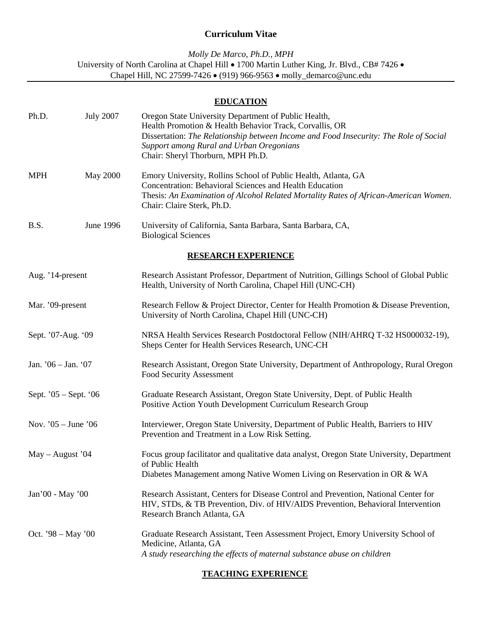# **Curriculum Vitae**

*Molly De Marco, Ph.D., MPH* University of North Carolina at Chapel Hill • 1700 Martin Luther King, Jr. Blvd., CB# 7426 • Chapel Hill, NC 27599-7426 • (919) 966-9563 • molly\_demarco@unc.edu

# **EDUCATION**

| Ph.D.                      | <b>July 2007</b> | Oregon State University Department of Public Health,<br>Health Promotion & Health Behavior Track, Corvallis, OR<br>Dissertation: The Relationship between Income and Food Insecurity: The Role of Social<br>Support among Rural and Urban Oregonians<br>Chair: Sheryl Thorburn, MPH Ph.D. |  |  |
|----------------------------|------------------|-------------------------------------------------------------------------------------------------------------------------------------------------------------------------------------------------------------------------------------------------------------------------------------------|--|--|
| <b>MPH</b>                 | <b>May 2000</b>  | Emory University, Rollins School of Public Health, Atlanta, GA<br>Concentration: Behavioral Sciences and Health Education<br>Thesis: An Examination of Alcohol Related Mortality Rates of African-American Women.<br>Chair: Claire Sterk, Ph.D.                                           |  |  |
| B.S.                       | June 1996        | University of California, Santa Barbara, Santa Barbara, CA,<br><b>Biological Sciences</b>                                                                                                                                                                                                 |  |  |
| <b>RESEARCH EXPERIENCE</b> |                  |                                                                                                                                                                                                                                                                                           |  |  |
| Aug. '14-present           |                  | Research Assistant Professor, Department of Nutrition, Gillings School of Global Public<br>Health, University of North Carolina, Chapel Hill (UNC-CH)                                                                                                                                     |  |  |
| Mar. '09-present           |                  | Research Fellow & Project Director, Center for Health Promotion & Disease Prevention,<br>University of North Carolina, Chapel Hill (UNC-CH)                                                                                                                                               |  |  |
| Sept. '07-Aug. '09         |                  | NRSA Health Services Research Postdoctoral Fellow (NIH/AHRQ T-32 HS000032-19),<br>Sheps Center for Health Services Research, UNC-CH                                                                                                                                                       |  |  |
| Jan. $'06 - Jan.$ '07      |                  | Research Assistant, Oregon State University, Department of Anthropology, Rural Oregon<br>Food Security Assessment                                                                                                                                                                         |  |  |
| Sept. $05 - Sept. 06$      |                  | Graduate Research Assistant, Oregon State University, Dept. of Public Health<br>Positive Action Youth Development Curriculum Research Group                                                                                                                                               |  |  |
| Nov. $05 - June 06$        |                  | Interviewer, Oregon State University, Department of Public Health, Barriers to HIV<br>Prevention and Treatment in a Low Risk Setting.                                                                                                                                                     |  |  |
| $May - August '04$         |                  | Focus group facilitator and qualitative data analyst, Oregon State University, Department<br>of Public Health<br>Diabetes Management among Native Women Living on Reservation in OR & WA                                                                                                  |  |  |
| Jan'00 - May '00           |                  | Research Assistant, Centers for Disease Control and Prevention, National Center for<br>HIV, STDs, & TB Prevention, Div. of HIV/AIDS Prevention, Behavioral Intervention<br>Research Branch Atlanta, GA                                                                                    |  |  |
| Oct. $98 - May'00$         |                  | Graduate Research Assistant, Teen Assessment Project, Emory University School of<br>Medicine, Atlanta, GA<br>A study researching the effects of maternal substance abuse on children                                                                                                      |  |  |

## **TEACHING EXPERIENCE**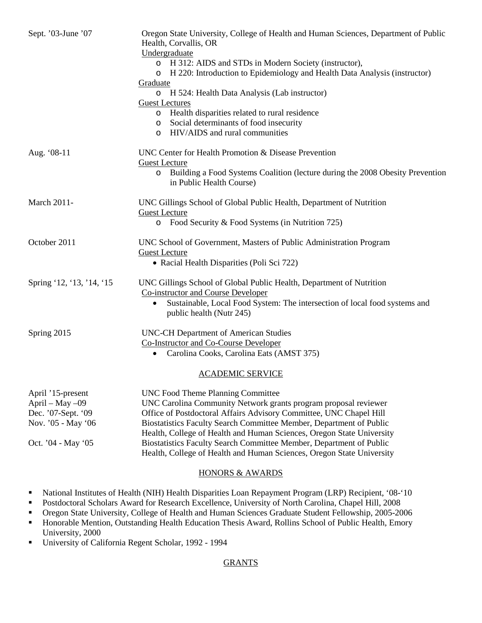| Sept. '03-June '07                                                                                     | Oregon State University, College of Health and Human Sciences, Department of Public<br>Health, Corvallis, OR<br>Undergraduate<br>o H 312: AIDS and STDs in Modern Society (instructor),<br>H 220: Introduction to Epidemiology and Health Data Analysis (instructor)<br>$\circ$<br><b>Graduate</b><br>o H 524: Health Data Analysis (Lab instructor)<br><b>Guest Lectures</b><br>Health disparities related to rural residence<br>$\circ$<br>Social determinants of food insecurity<br>$\circ$<br>HIV/AIDS and rural communities<br>$\circ$ |
|--------------------------------------------------------------------------------------------------------|---------------------------------------------------------------------------------------------------------------------------------------------------------------------------------------------------------------------------------------------------------------------------------------------------------------------------------------------------------------------------------------------------------------------------------------------------------------------------------------------------------------------------------------------|
| Aug. '08-11                                                                                            | UNC Center for Health Promotion & Disease Prevention<br><b>Guest Lecture</b><br>Building a Food Systems Coalition (lecture during the 2008 Obesity Prevention<br>$\circ$<br>in Public Health Course)                                                                                                                                                                                                                                                                                                                                        |
| <b>March 2011-</b>                                                                                     | UNC Gillings School of Global Public Health, Department of Nutrition<br><b>Guest Lecture</b><br>$\circ$ Food Security & Food Systems (in Nutrition 725)                                                                                                                                                                                                                                                                                                                                                                                     |
| October 2011                                                                                           | UNC School of Government, Masters of Public Administration Program<br><b>Guest Lecture</b><br>• Racial Health Disparities (Poli Sci 722)                                                                                                                                                                                                                                                                                                                                                                                                    |
| Spring '12, '13, '14, '15                                                                              | UNC Gillings School of Global Public Health, Department of Nutrition<br><b>Co-instructor and Course Developer</b><br>Sustainable, Local Food System: The intersection of local food systems and<br>$\bullet$<br>public health (Nutr 245)                                                                                                                                                                                                                                                                                                    |
| Spring 2015                                                                                            | <b>UNC-CH Department of American Studies</b><br>Co-Instructor and Co-Course Developer<br>Carolina Cooks, Carolina Eats (AMST 375)<br>$\bullet$                                                                                                                                                                                                                                                                                                                                                                                              |
|                                                                                                        | <b>ACADEMIC SERVICE</b>                                                                                                                                                                                                                                                                                                                                                                                                                                                                                                                     |
| April '15-present<br>April - May -09<br>Dec. '07-Sept. '09<br>Nov. '05 - May '06<br>Oct. '04 - May '05 | <b>UNC Food Theme Planning Committee</b><br>UNC Carolina Community Network grants program proposal reviewer<br>Office of Postdoctoral Affairs Advisory Committee, UNC Chapel Hill<br>Biostatistics Faculty Search Committee Member, Department of Public<br>Health, College of Health and Human Sciences, Oregon State University<br>Biostatistics Faculty Search Committee Member, Department of Public<br>Health, College of Health and Human Sciences, Oregon State University                                                           |

### HONORS & AWARDS

- National Institutes of Health (NIH) Health Disparities Loan Repayment Program (LRP) Recipient, '08-'10
- **Postdoctoral Scholars Award for Research Excellence, University of North Carolina, Chapel Hill, 2008**
- Oregon State University, College of Health and Human Sciences Graduate Student Fellowship, 2005-2006
- Honorable Mention, Outstanding Health Education Thesis Award, Rollins School of Public Health, Emory University, 2000
- University of California Regent Scholar, 1992 1994

## **GRANTS**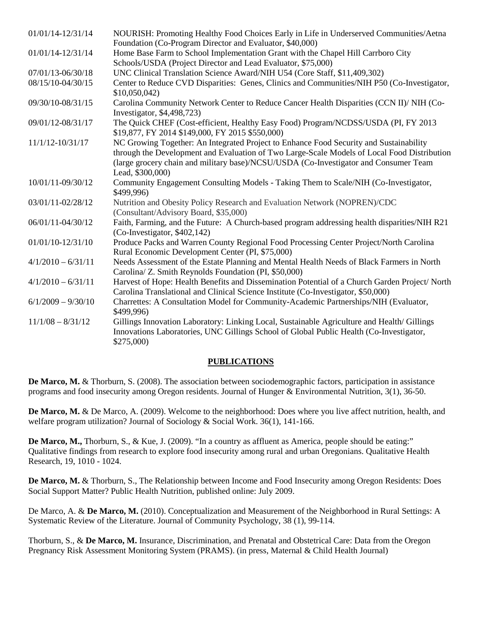| 01/01/14-12/31/14    | NOURISH: Promoting Healthy Food Choices Early in Life in Underserved Communities/Aetna                                                                                                                                                                                                            |
|----------------------|---------------------------------------------------------------------------------------------------------------------------------------------------------------------------------------------------------------------------------------------------------------------------------------------------|
|                      | Foundation (Co-Program Director and Evaluator, \$40,000)                                                                                                                                                                                                                                          |
| 01/01/14-12/31/14    | Home Base Farm to School Implementation Grant with the Chapel Hill Carrboro City<br>Schools/USDA (Project Director and Lead Evaluator, \$75,000)                                                                                                                                                  |
| 07/01/13-06/30/18    | UNC Clinical Translation Science Award/NIH U54 (Core Staff, \$11,409,302)                                                                                                                                                                                                                         |
| 08/15/10-04/30/15    | Center to Reduce CVD Disparities: Genes, Clinics and Communities/NIH P50 (Co-Investigator,<br>\$10,050,042                                                                                                                                                                                        |
| 09/30/10-08/31/15    | Carolina Community Network Center to Reduce Cancer Health Disparities (CCN II)/ NIH (Co-<br>Investigator, \$4,498,723)                                                                                                                                                                            |
| 09/01/12-08/31/17    | The Quick CHEF (Cost-efficient, Healthy Easy Food) Program/NCDSS/USDA (PI, FY 2013<br>\$19,877, FY 2014 \$149,000, FY 2015 \$550,000)                                                                                                                                                             |
| 11/1/12-10/31/17     | NC Growing Together: An Integrated Project to Enhance Food Security and Sustainability<br>through the Development and Evaluation of Two Large-Scale Models of Local Food Distribution<br>(large grocery chain and military base)/NCSU/USDA (Co-Investigator and Consumer Team<br>Lead, \$300,000) |
| 10/01/11-09/30/12    | Community Engagement Consulting Models - Taking Them to Scale/NIH (Co-Investigator,<br>\$499,996)                                                                                                                                                                                                 |
| 03/01/11-02/28/12    | Nutrition and Obesity Policy Research and Evaluation Network (NOPREN)/CDC<br>(Consultant/Advisory Board, \$35,000)                                                                                                                                                                                |
| 06/01/11-04/30/12    | Faith, Farming, and the Future: A Church-based program addressing health disparities/NIH R21<br>(Co-Investigator, \$402,142)                                                                                                                                                                      |
| 01/01/10-12/31/10    | Produce Packs and Warren County Regional Food Processing Center Project/North Carolina<br>Rural Economic Development Center (PI, \$75,000)                                                                                                                                                        |
| $4/1/2010 - 6/31/11$ | Needs Assessment of the Estate Planning and Mental Health Needs of Black Farmers in North<br>Carolina/ Z. Smith Reynolds Foundation (PI, \$50,000)                                                                                                                                                |
| $4/1/2010 - 6/31/11$ | Harvest of Hope: Health Benefits and Dissemination Potential of a Church Garden Project/North<br>Carolina Translational and Clinical Science Institute (Co-Investigator, \$50,000)                                                                                                                |
| $6/1/2009 - 9/30/10$ | Charrettes: A Consultation Model for Community-Academic Partnerships/NIH (Evaluator,<br>\$499,996)                                                                                                                                                                                                |
| $11/1/08 - 8/31/12$  | Gillings Innovation Laboratory: Linking Local, Sustainable Agriculture and Health/ Gillings<br>Innovations Laboratories, UNC Gillings School of Global Public Health (Co-Investigator,<br>\$275,000)                                                                                              |

### **PUBLICATIONS**

**De Marco, M.** & Thorburn, S. (2008). The association between sociodemographic factors, participation in assistance programs and food insecurity among Oregon residents. Journal of Hunger & Environmental Nutrition, 3(1), 36-50.

**De Marco, M.** & De Marco, A. (2009). Welcome to the neighborhood: Does where you live affect nutrition, health, and welfare program utilization? Journal of Sociology & Social Work. 36(1), 141-166.

**De Marco, M.,** Thorburn, S., & Kue, J. (2009). "In a country as affluent as America, people should be eating:" Qualitative findings from research to explore food insecurity among rural and urban Oregonians. Qualitative Health Research, 19, 1010 - 1024.

**De Marco, M.** & Thorburn, S., The Relationship between Income and Food Insecurity among Oregon Residents: Does Social Support Matter? Public Health Nutrition, published online: July 2009.

De Marco, A. & **De Marco, M.** (2010). Conceptualization and Measurement of the Neighborhood in Rural Settings: A Systematic Review of the Literature. Journal of Community Psychology, 38 (1), 99-114.

Thorburn, S., & **De Marco, M.** Insurance, Discrimination, and Prenatal and Obstetrical Care: Data from the Oregon Pregnancy Risk Assessment Monitoring System (PRAMS). (in press, Maternal & Child Health Journal)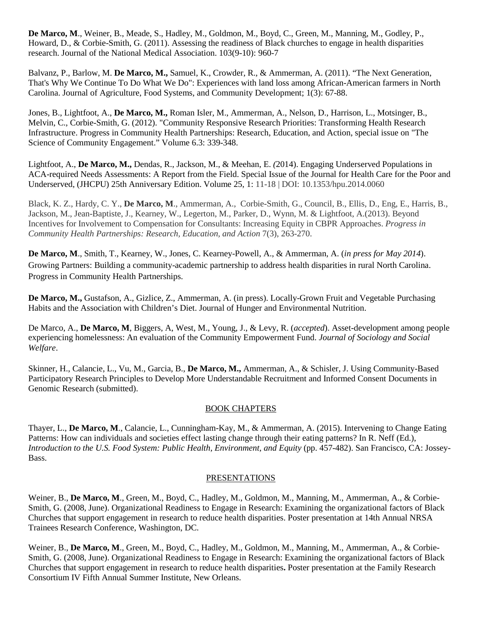**De Marco, M**., Weiner, B., Meade, S., Hadley, M., Goldmon, M., Boyd, C., Green, M., Manning, M., Godley, P., Howard, D., & Corbie-Smith, G. (2011). Assessing the readiness of Black churches to engage in health disparities research. Journal of the National Medical Association. 103(9-10): 960-7

Balvanz, P., Barlow, M. **De Marco, M.,** Samuel, K., Crowder, R., & Ammerman, A. (2011). "The Next Generation, That's Why We Continue To Do What We Do": Experiences with land loss among African-American farmers in North Carolina. Journal of Agriculture, Food Systems, and Community Development; 1(3): 67-88.

Jones, B., Lightfoot, A., **De Marco, M.,** Roman Isler, M., Ammerman, A., Nelson, D., Harrison, L., Motsinger, B., Melvin, C., Corbie-Smith, G. (2012). "Community Responsive Research Priorities: Transforming Health Research Infrastructure. Progress in Community Health Partnerships: Research, Education, and Action, special issue on "The Science of Community Engagement." Volume 6.3: 339-348.

Lightfoot, A., **De Marco, M.,** Dendas, R., Jackson, M., & Meehan, E. *(*2014). Engaging Underserved Populations in ACA-required Needs Assessments: A Report from the Field. Special Issue of the Journal for Health Care for the Poor and Underserved, (JHCPU) 25th Anniversary Edition. Volume 25, 1: 11-18 | DOI: 10.1353/hpu.2014.0060

Black, K. Z., Hardy, C. Y., **De Marco, M**., Ammerman, A., Corbie-Smith, G., Council, B., Ellis, D., Eng, E., Harris, B., Jackson, M., Jean-Baptiste, J., Kearney, W., Legerton, M., Parker, D., Wynn, M. & Lightfoot, A.(2013). Beyond Incentives for Involvement to Compensation for Consultants: Increasing Equity in CBPR Approaches. *Progress in Community Health Partnerships: Research, Education, and Action* 7(3), 263-270.

**De Marco, M**., Smith, T., Kearney, W., Jones, C. Kearney-Powell, A., & Ammerman, A. (*in press for May 2014*). Growing Partners: Building a community-academic partnership to address health disparities in rural North Carolina. Progress in Community Health Partnerships.

**De Marco, M.,** Gustafson, A., Gizlice, Z., Ammerman, A. (in press). Locally-Grown Fruit and Vegetable Purchasing Habits and the Association with Children's Diet. Journal of Hunger and Environmental Nutrition.

De Marco, A., **De Marco, M**, Biggers, A, West, M., Young, J., & Levy, R. (*accepted*). Asset-development among people experiencing homelessness: An evaluation of the Community Empowerment Fund. *Journal of Sociology and Social Welfare*.

Skinner, H., Calancie, L., Vu, M., Garcia, B., **De Marco, M.,** Ammerman, A., & Schisler, J. Using Community-Based Participatory Research Principles to Develop More Understandable Recruitment and Informed Consent Documents in Genomic Research (submitted).

### BOOK CHAPTERS

Thayer, L., **De Marco, M**., Calancie, L., Cunningham-Kay, M., & Ammerman, A. (2015). Intervening to Change Eating Patterns: How can individuals and societies effect lasting change through their eating patterns? In R. Neff (Ed.), *Introduction to the U.S. Food System: Public Health, Environment, and Equity* (pp. 457-482). San Francisco, CA: Jossey-Bass.

### PRESENTATIONS

Weiner, B., **De Marco, M**., [Green, M.,](mailto:mgreen@schsr.unc.edu) Boyd, C., Hadley, M., Goldmon, M., Manning, M., Ammerman, A., & Corbie-Smith, G. (2008, June). Organizational Readiness to Engage in Research: Examining the organizational factors of Black Churches that support engagement in research to reduce health disparities. Poster presentation at 14th Annual NRSA Trainees Research Conference, Washington, DC.

Weiner, B., **De Marco, M**., [Green, M.,](mailto:mgreen@schsr.unc.edu) Boyd, C., Hadley, M., Goldmon, M., Manning, M., Ammerman, A., & Corbie-Smith, G. (2008, June). Organizational Readiness to Engage in Research: Examining the organizational factors of Black Churches that support engagement in research to reduce health disparities**.** Poster presentation at the Family Research Consortium IV Fifth Annual Summer Institute, New Orleans.